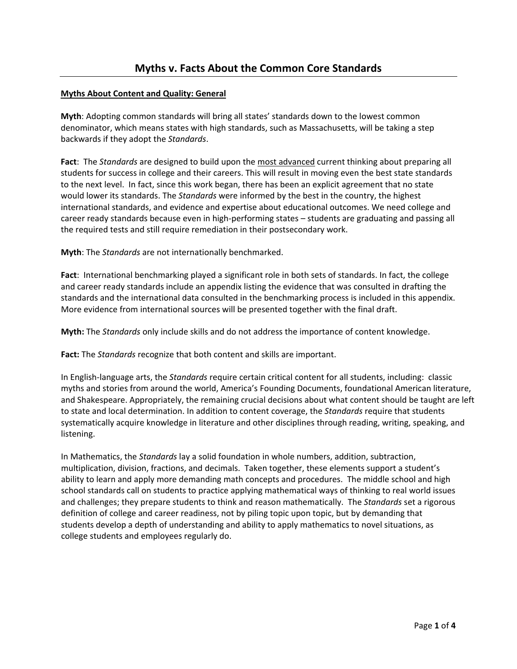## **Myths About Content and Quality: General**

**Myth**: Adopting common standards will bring all states' standards down to the lowest common denominator, which means states with high standards, such as Massachusetts, will be taking a step backwards if they adopt the *Standards*.

**Fact**: The *Standards* are designed to build upon the most advanced current thinking about preparing all students for success in college and their careers. This will result in moving even the best state standards to the next level. In fact, since this work began, there has been an explicit agreement that no state would lower its standards. The *Standards* were informed by the best in the country, the highest international standards, and evidence and expertise about educational outcomes. We need college and career ready standards because even in high‐performing states – students are graduating and passing all the required tests and still require remediation in their postsecondary work.

**Myth**: The *Standards* are not internationally benchmarked.

**Fact**: International benchmarking played a significant role in both sets of standards. In fact, the college and career ready standards include an appendix listing the evidence that was consulted in drafting the standards and the international data consulted in the benchmarking process is included in this appendix. More evidence from international sources will be presented together with the final draft.

**Myth:** The *Standards* only include skills and do not address the importance of content knowledge.

**Fact:** The *Standards* recognize that both content and skills are important.

In English‐language arts, the *Standards* require certain critical content for all students, including: classic myths and stories from around the world, America's Founding Documents, foundational American literature, and Shakespeare. Appropriately, the remaining crucial decisions about what content should be taught are left to state and local determination. In addition to content coverage, the *Standards* require that students systematically acquire knowledge in literature and other disciplines through reading, writing, speaking, and listening.

In Mathematics, the *Standards* lay a solid foundation in whole numbers, addition, subtraction, multiplication, division, fractions, and decimals. Taken together, these elements support a student's ability to learn and apply more demanding math concepts and procedures. The middle school and high school standards call on students to practice applying mathematical ways of thinking to real world issues and challenges; they prepare students to think and reason mathematically. The *Standards* set a rigorous definition of college and career readiness, not by piling topic upon topic, but by demanding that students develop a depth of understanding and ability to apply mathematics to novel situations, as college students and employees regularly do.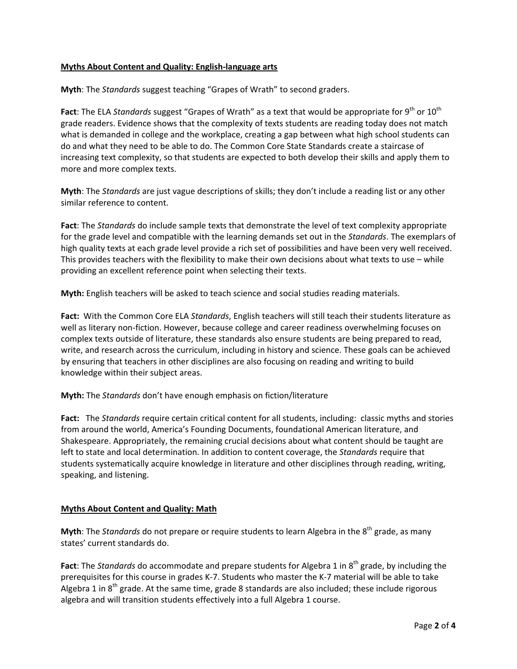## **Myths About Content and Quality: English‐language arts**

**Myth**: The *Standards* suggest teaching "Grapes of Wrath" to second graders.

**Fact**: The ELA *Standards* suggest "Grapes of Wrath" as a text that would be appropriate for 9<sup>th</sup> or 10<sup>th</sup> grade readers. Evidence shows that the complexity of texts students are reading today does not match what is demanded in college and the workplace, creating a gap between what high school students can do and what they need to be able to do. The Common Core State Standards create a staircase of increasing text complexity, so that students are expected to both develop their skills and apply them to more and more complex texts.

**Myth**: The *Standards* are just vague descriptions of skills; they don't include a reading list or any other similar reference to content.

**Fact**: The *Standards* do include sample texts that demonstrate the level of text complexity appropriate for the grade level and compatible with the learning demands set out in the *Standards*. The exemplars of high quality texts at each grade level provide a rich set of possibilities and have been very well received. This provides teachers with the flexibility to make their own decisions about what texts to use – while providing an excellent reference point when selecting their texts.

**Myth:** English teachers will be asked to teach science and social studies reading materials.

**Fact:** With the Common Core ELA *Standards*, English teachers will still teach their students literature as well as literary non‐fiction. However, because college and career readiness overwhelming focuses on complex texts outside of literature, these standards also ensure students are being prepared to read, write, and research across the curriculum, including in history and science. These goals can be achieved by ensuring that teachers in other disciplines are also focusing on reading and writing to build knowledge within their subject areas.

**Myth:** The *Standards* don't have enough emphasis on fiction/literature

**Fact:** The *Standards* require certain critical content for all students, including: classic myths and stories from around the world, America's Founding Documents, foundational American literature, and Shakespeare. Appropriately, the remaining crucial decisions about what content should be taught are left to state and local determination. In addition to content coverage, the *Standards* require that students systematically acquire knowledge in literature and other disciplines through reading, writing, speaking, and listening.

# **Myths About Content and Quality: Math**

**Myth**: The *Standards* do not prepare or require students to learn Algebra in the 8<sup>th</sup> grade, as many states' current standards do.

Fact: The *Standards* do accommodate and prepare students for Algebra 1 in 8<sup>th</sup> grade, by including the prerequisites for this course in grades K‐7. Students who master the K‐7 material will be able to take Algebra 1 in  $8<sup>th</sup>$  grade. At the same time, grade 8 standards are also included; these include rigorous algebra and will transition students effectively into a full Algebra 1 course.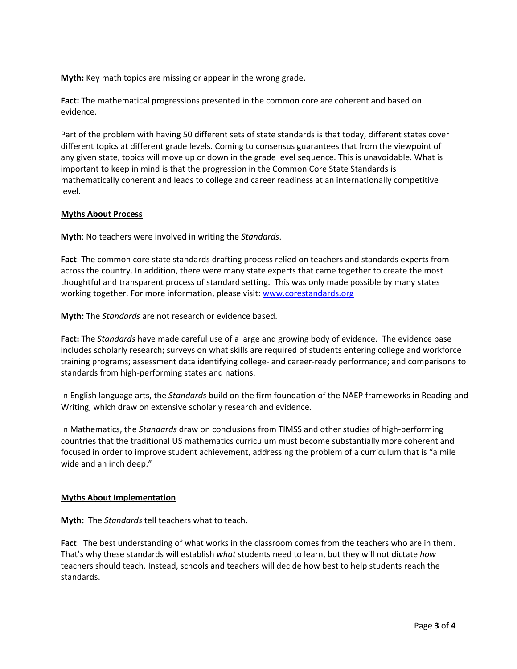**Myth:** Key math topics are missing or appear in the wrong grade.

**Fact:** The mathematical progressions presented in the common core are coherent and based on evidence.

Part of the problem with having 50 different sets of state standards is that today, different states cover different topics at different grade levels. Coming to consensus guarantees that from the viewpoint of any given state, topics will move up or down in the grade level sequence. This is unavoidable. What is important to keep in mind is that the progression in the Common Core State Standards is mathematically coherent and leads to college and career readiness at an internationally competitive level.

### **Myths About Process**

**Myth**: No teachers were involved in writing the *Standards*.

**Fact**: The common core state standards drafting process relied on teachers and standards experts from across the country. In addition, there were many state experts that came together to create the most thoughtful and transparent process of standard setting. This was only made possible by many states working together. For more information, please visit: [www.corestandards.org](http://www.corestandards.org/)

**Myth:** The *Standards* are not research or evidence based.

**Fact:** The *Standards* have made careful use of a large and growing body of evidence. The evidence base includes scholarly research; surveys on what skills are required of students entering college and workforce training programs; assessment data identifying college‐ and career‐ready performance; and comparisons to standards from high‐performing states and nations.

In English language arts, the *Standards* build on the firm foundation of the NAEP frameworks in Reading and Writing, which draw on extensive scholarly research and evidence.

In Mathematics, the *Standards* draw on conclusions from TIMSS and other studies of high‐performing countries that the traditional US mathematics curriculum must become substantially more coherent and focused in order to improve student achievement, addressing the problem of a curriculum that is "a mile wide and an inch deep."

#### **Myths About Implementation**

**Myth:** The *Standards* tell teachers what to teach.

**Fact**: The best understanding of what works in the classroom comes from the teachers who are in them. That's why these standards will establish *what* students need to learn, but they will not dictate *how* teachers should teach. Instead, schools and teachers will decide how best to help students reach the standards.